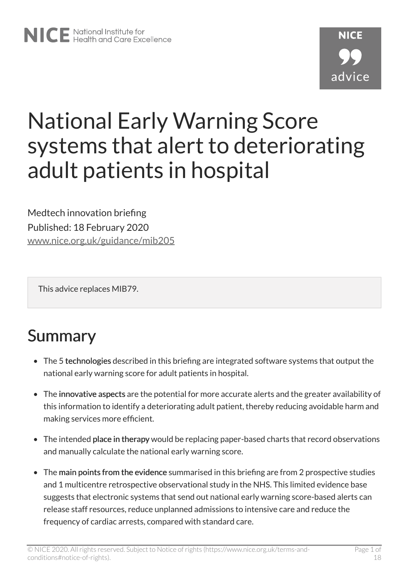# National Early Warning Score systems that alert to deteriorating adult patients in hospital

Medtech innovation briefing Published: 18 February 2020 [www.nice.org.uk/guidance/mib205](https://www.nice.org.uk/guidance/mib205)

This advice replaces MIB79.

# Summary

- The 5 technologies described in this briefing are integrated software systems that output the national early warning score for adult patients in hospital.
- The innovative aspects are the potential for more accurate alerts and the greater availability of this information to identify a deteriorating adult patient, thereby reducing avoidable harm and making services more efficient.
- The intended place in therapy would be replacing paper-based charts that record observations and manually calculate the national early warning score.
- The main points from the evidence summarised in this briefing are from 2 prospective studies and 1 multicentre retrospective observational study in the NHS. This limited evidence base suggests that electronic systems that send out national early warning score-based alerts can release staff resources, reduce unplanned admissions to intensive care and reduce the frequency of cardiac arrests, compared with standard care.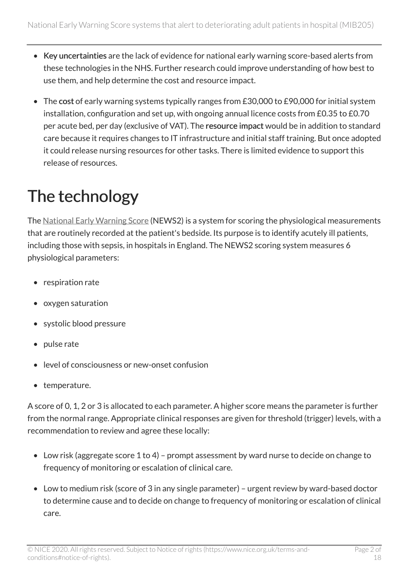- Key uncertainties are the lack of evidence for national early warning score-based alerts from these technologies in the NHS. Further research could improve understanding of how best to use them, and help determine the cost and resource impact.
- The cost of early warning systems typically ranges from £30,000 to £90,000 for initial system installation, configuration and set up, with ongoing annual licence costs from £0.35 to £0.70 per acute bed, per day (exclusive of VAT). The resource impact would be in addition to standard care because it requires changes to IT infrastructure and initial staff training. But once adopted it could release nursing resources for other tasks. There is limited evidence to support this release of resources.

# The technology

The [National Early Warning Score](https://www.rcplondon.ac.uk/projects/outputs/national-early-warning-score-news-2) (NEWS2) is a system for scoring the physiological measurements that are routinely recorded at the patient's bedside. Its purpose is to identify acutely ill patients, including those with sepsis, in hospitals in England. The NEWS2 scoring system measures 6 physiological parameters:

- respiration rate
- oxygen saturation
- systolic blood pressure
- pulse rate
- level of consciousness or new-onset confusion
- temperature.

A score of 0, 1, 2 or 3 is allocated to each parameter. A higher score means the parameter is further from the normal range. Appropriate clinical responses are given for threshold (trigger) levels, with a recommendation to review and agree these locally:

- Low risk (aggregate score 1 to 4) prompt assessment by ward nurse to decide on change to frequency of monitoring or escalation of clinical care.
- Low to medium risk (score of 3 in any single parameter) urgent review by ward-based doctor to determine cause and to decide on change to frequency of monitoring or escalation of clinical care.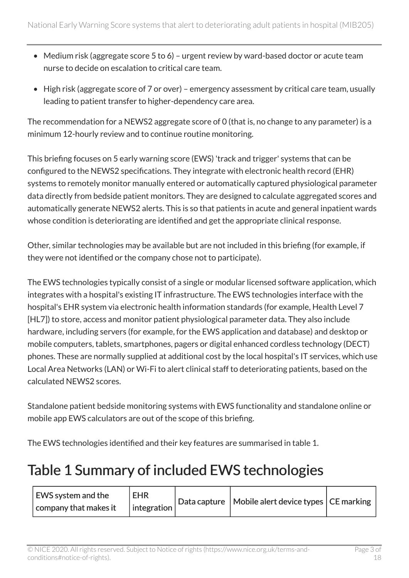- Medium risk (aggregate score 5 to 6) urgent review by ward-based doctor or acute team nurse to decide on escalation to critical care team.
- High risk (aggregate score of 7 or over) emergency assessment by critical care team, usually leading to patient transfer to higher-dependency care area.

The recommendation for a NEWS2 aggregate score of 0 (that is, no change to any parameter) is a minimum 12-hourly review and to continue routine monitoring.

This briefing focuses on 5 early warning score (EWS) 'track and trigger' systems that can be configured to the NEWS2 specifications. They integrate with electronic health record (EHR) systems to remotely monitor manually entered or automatically captured physiological parameter data directly from bedside patient monitors. They are designed to calculate aggregated scores and automatically generate NEWS2 alerts. This is so that patients in acute and general inpatient wards whose condition is deteriorating are identified and get the appropriate clinical response.

Other, similar technologies may be available but are not included in this briefing (for example, if they were not identified or the company chose not to participate).

The EWS technologies typically consist of a single or modular licensed software application, which integrates with a hospital's existing IT infrastructure. The EWS technologies interface with the hospital's EHR system via electronic health information standards (for example, Health Level 7 [HL7]) to store, access and monitor patient physiological parameter data. They also include hardware, including servers (for example, for the EWS application and database) and desktop or mobile computers, tablets, smartphones, pagers or digital enhanced cordless technology (DECT) phones. These are normally supplied at additional cost by the local hospital's IT services, which use Local Area Networks (LAN) or Wi-Fi to alert clinical staff to deteriorating patients, based on the calculated NEWS2 scores.

Standalone patient bedside monitoring systems with EWS functionality and standalone online or mobile app EWS calculators are out of the scope of this briefing.

The EWS technologies identified and their key features are summarised in table 1.

## Table 1 Summary of included EWS technologies

| EWS system and the    | <b>EHR</b>          |  | Data capture   Mobile alert device types   CE marking |  |
|-----------------------|---------------------|--|-------------------------------------------------------|--|
| company that makes it | $ $ integration $ $ |  |                                                       |  |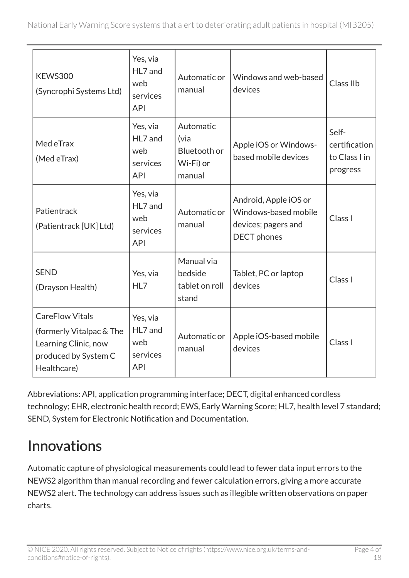| <b>KEWS300</b><br>(Syncrophi Systems Ltd)                                                                         | Yes, via<br>HL7 and<br>web<br>services<br><b>API</b> | Automatic or<br>manual                                   | Windows and web-based<br>devices                                                           | Class IIb                                           |
|-------------------------------------------------------------------------------------------------------------------|------------------------------------------------------|----------------------------------------------------------|--------------------------------------------------------------------------------------------|-----------------------------------------------------|
| Med eTrax<br>(Med eTrax)                                                                                          | Yes, via<br>HL7 and<br>web<br>services<br><b>API</b> | Automatic<br>(via<br>Bluetooth or<br>Wi-Fi) or<br>manual | Apple iOS or Windows-<br>based mobile devices                                              | Self-<br>certification<br>to Class I in<br>progress |
| Patientrack<br>(Patientrack [UK] Ltd)                                                                             | Yes, via<br>HL7 and<br>web<br>services<br><b>API</b> | Automatic or<br>manual                                   | Android, Apple iOS or<br>Windows-based mobile<br>devices; pagers and<br><b>DECT</b> phones | Class I                                             |
| <b>SEND</b><br>(Drayson Health)                                                                                   | Yes, via<br>HL7                                      | Manual via<br>bedside<br>tablet on roll<br>stand         | Tablet, PC or laptop<br>devices                                                            | Class I                                             |
| <b>CareFlow Vitals</b><br>(formerly Vitalpac & The<br>Learning Clinic, now<br>produced by System C<br>Healthcare) | Yes, via<br>HL7 and<br>web<br>services<br><b>API</b> | Automatic or<br>manual                                   | Apple iOS-based mobile<br>devices                                                          | Class I                                             |

Abbreviations: API, application programming interface; DECT, digital enhanced cordless technology; EHR, electronic health record; EWS, Early Warning Score; HL7, health level 7 standard; SEND, System for Electronic Notification and Documentation.

## Innovations

Automatic capture of physiological measurements could lead to fewer data input errors to the NEWS2 algorithm than manual recording and fewer calculation errors, giving a more accurate NEWS2 alert. The technology can address issues such as illegible written observations on paper charts.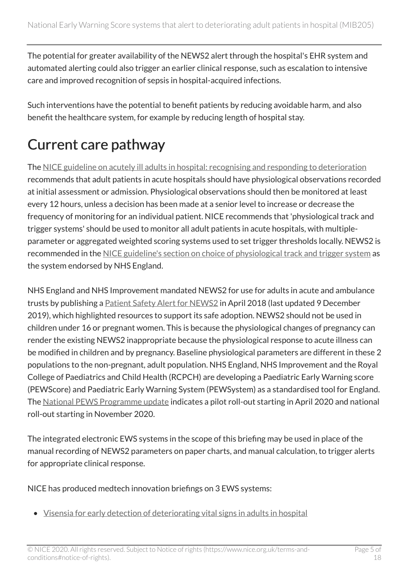The potential for greater availability of the NEWS2 alert through the hospital's EHR system and automated alerting could also trigger an earlier clinical response, such as escalation to intensive care and improved recognition of sepsis in hospital-acquired infections.

Such interventions have the potential to benefit patients by reducing avoidable harm, and also benefit the healthcare system, for example by reducing length of hospital stay.

# Current care pathway

The [NICE guideline on acutely ill adults in hospital: recognising and responding to deterioration](https://www.nice.org.uk/guidance/cg50)  recommends that adult patients in acute hospitals should have physiological observations recorded at initial assessment or admission. Physiological observations should then be monitored at least every 12 hours, unless a decision has been made at a senior level to increase or decrease the frequency of monitoring for an individual patient. NICE recommends that 'physiological track and trigger systems' should be used to monitor all adult patients in acute hospitals, with multipleparameter or aggregated weighted scoring systems used to set trigger thresholds locally. NEWS2 is recommended in the [NICE guideline's section on choice of physiological track and trigger system](https://www.nice.org.uk/guidance/cg50/chapter/1-Guidance#choice-of-physiological-track-and-trigger-system) as the system endorsed by NHS England.

NHS England and NHS Improvement mandated NEWS2 for use for adults in acute and ambulance trusts by publishing a **[Patient Safety Alert for NEWS2](https://www.england.nhs.uk/publication/patient-safety-alert-safe-adoption-of-news2/)** in April 2018 (last updated 9 December 2019), which highlighted resources to support its safe adoption. NEWS2 should not be used in children under 16 or pregnant women. This is because the physiological changes of pregnancy can render the existing NEWS2 inappropriate because the physiological response to acute illness can be modified in children and by pregnancy. Baseline physiological parameters are different in these 2 populations to the non-pregnant, adult population. NHS England, NHS Improvement and the Royal College of Paediatrics and Child Health (RCPCH) are developing a Paediatric Early Warning score (PEWScore) and Paediatric Early Warning System (PEWSystem) as a standardised tool for England. The [National PEWS Programme update](https://www.rcpch.ac.uk/resources/paediatric-early-warning-system-pewsystem-developing-standardised-tool-england) indicates a pilot roll-out starting in April 2020 and national roll-out starting in November 2020.

The integrated electronic EWS systems in the scope of this briefing may be used in place of the manual recording of NEWS2 parameters on paper charts, and manual calculation, to trigger alerts for appropriate clinical response.

NICE has produced medtech innovation briefings on 3 EWS systems:

• [Visensia for early detection of deteriorating vital signs in adults in hospital](https://www.nice.org.uk/advice/mib36)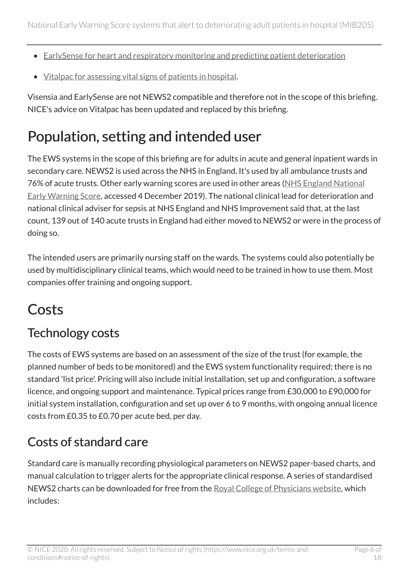- [EarlySense for heart and respiratory monitoring and predicting patient deterioration](https://www.nice.org.uk/advice/mib49)
- [Vitalpac for assessing vital signs of patients in hospital](https://www.nice.org.uk/advice/mib79).

Visensia and EarlySense are not NEWS2 compatible and therefore not in the scope of this briefing. NICE's advice on Vitalpac has been updated and replaced by this briefing.

## Population, setting and intended user

The EWS systems in the scope of this briefing are for adults in acute and general inpatient wards in secondary care. NEWS2 is used across the NHS in England. It's used by all ambulance trusts and 76% of acute trusts. Other early warning scores are used in other areas [\(NHS England National](https://www.england.nhs.uk/nationalearlywarningscore/)  [Early Warning Score,](https://www.england.nhs.uk/nationalearlywarningscore/) accessed 4 December 2019). The national clinical lead for deterioration and national clinical adviser for sepsis at NHS England and NHS Improvement said that, at the last count, 139 out of 140 acute trusts in England had either moved to NEWS2 or were in the process of doing so.

The intended users are primarily nursing staff on the wards. The systems could also potentially be used by multidisciplinary clinical teams, which would need to be trained in how to use them. Most companies offer training and ongoing support.

## **Costs**

### Technology costs

The costs of EWS systems are based on an assessment of the size of the trust (for example, the planned number of beds to be monitored) and the EWS system functionality required; there is no standard 'list price'. Pricing will also include initial installation, set up and configuration, a software licence, and ongoing support and maintenance. Typical prices range from £30,000 to £90,000 for initial system installation, configuration and set up over 6 to 9 months, with ongoing annual licence costs from £0.35 to £0.70 per acute bed, per day.

## Costs of standard care

Standard care is manually recording physiological parameters on NEWS2 paper-based charts, and manual calculation to trigger alerts for the appropriate clinical response. A series of standardised NEWS2 charts can be downloaded for free from the [Royal College of Physicians website,](https://www.rcplondon.ac.uk/projects/outputs/national-early-warning-score-news-2) which includes: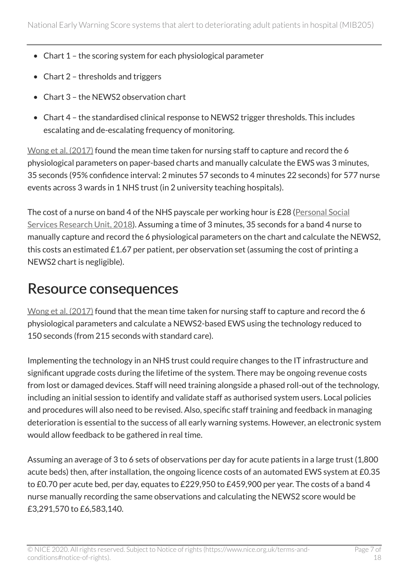- Chart 1 the scoring system for each physiological parameter
- Chart 2 thresholds and triggers
- Chart 3 the NEWS2 observation chart
- Chart 4 the standardised clinical response to NEWS2 trigger thresholds. This includes escalating and de-escalating frequency of monitoring.

[Wong et al. \(2017\)](https://www.ncbi.nlm.nih.gov/pubmed/28339626) found the mean time taken for nursing staff to capture and record the 6 physiological parameters on paper-based charts and manually calculate the EWS was 3 minutes, 35 seconds (95% confidence interval: 2 minutes 57 seconds to 4 minutes 22 seconds) for 577 nurse events across 3 wards in 1 NHS trust (in 2 university teaching hospitals).

The cost of a nurse on band 4 of the NHS payscale per working hour is £28 [\(Personal Social](https://www.pssru.ac.uk/project-pages/unit-costs/unit-costs-2018/) [Services Research Unit, 2018\)](https://www.pssru.ac.uk/project-pages/unit-costs/unit-costs-2018/). Assuming a time of 3 minutes, 35 seconds for a band 4 nurse to manually capture and record the 6 physiological parameters on the chart and calculate the NEWS2, this costs an estimated £1.67 per patient, per observation set (assuming the cost of printing a NEWS2 chart is negligible).

## Resource consequences

[Wong et al. \(2017\)](https://www.ncbi.nlm.nih.gov/pubmed/28339626) found that the mean time taken for nursing staff to capture and record the 6 physiological parameters and calculate a NEWS2-based EWS using the technology reduced to 150 seconds (from 215 seconds with standard care).

Implementing the technology in an NHS trust could require changes to the IT infrastructure and significant upgrade costs during the lifetime of the system. There may be ongoing revenue costs from lost or damaged devices. Staff will need training alongside a phased roll-out of the technology, including an initial session to identify and validate staff as authorised system users. Local policies and procedures will also need to be revised. Also, specific staff training and feedback in managing deterioration is essential to the success of all early warning systems. However, an electronic system would allow feedback to be gathered in real time.

Assuming an average of 3 to 6 sets of observations per day for acute patients in a large trust (1,800 acute beds) then, after installation, the ongoing licence costs of an automated EWS system at £0.35 to £0.70 per acute bed, per day, equates to £229,950 to £459,900 per year. The costs of a band 4 nurse manually recording the same observations and calculating the NEWS2 score would be £3,291,570 to £6,583,140.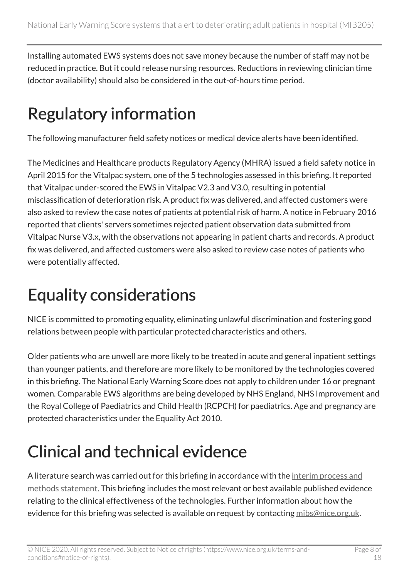Installing automated EWS systems does not save money because the number of staff may not be reduced in practice. But it could release nursing resources. Reductions in reviewing clinician time (doctor availability) should also be considered in the out-of-hours time period.

# Regulatory information

The following manufacturer field safety notices or medical device alerts have been identified.

The Medicines and Healthcare products Regulatory Agency (MHRA) issued a field safety notice in April 2015 for the Vitalpac system, one of the 5 technologies assessed in this briefing. It reported that Vitalpac under-scored the EWS in Vitalpac V2.3 and V3.0, resulting in potential misclassification of deterioration risk. A product fix was delivered, and affected customers were also asked to review the case notes of patients at potential risk of harm. A notice in February 2016 reported that clients' servers sometimes rejected patient observation data submitted from Vitalpac Nurse V3.x, with the observations not appearing in patient charts and records. A product fix was delivered, and affected customers were also asked to review case notes of patients who were potentially affected.

# Equality considerations

NICE is committed to promoting equality, eliminating unlawful discrimination and fostering good relations between people with particular protected characteristics and others.

Older patients who are unwell are more likely to be treated in acute and general inpatient settings than younger patients, and therefore are more likely to be monitored by the technologies covered in this briefing. The National Early Warning Score does not apply to children under 16 or pregnant women. Comparable EWS algorithms are being developed by NHS England, NHS Improvement and the Royal College of Paediatrics and Child Health (RCPCH) for paediatrics. Age and pregnancy are protected characteristics under the Equality Act 2010.

# Clinical and technical evidence

A literature search was carried out for this briefing in accordance with the interim process and [methods statement](https://www.nice.org.uk/About/What-we-do/Our-Programmes/NICE-Advice/Medtech-innovation-briefings). This briefing includes the most relevant or best available published evidence relating to the clinical effectiveness of the technologies. Further information about how the evidence for this briefing was selected is available on request by contacting [mibs@nice.org.uk](mailto:medtech@nice.org.uk).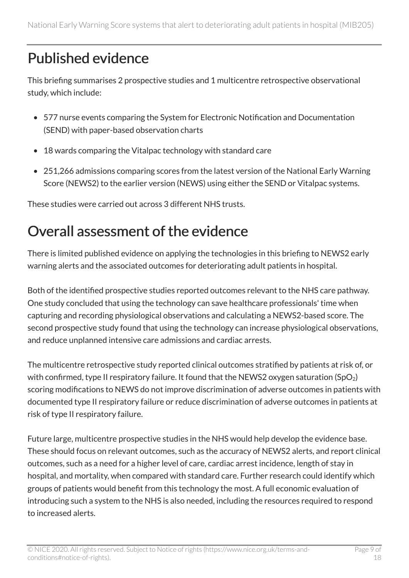## Published evidence

This briefing summarises 2 prospective studies and 1 multicentre retrospective observational study, which include:

- 577 nurse events comparing the System for Electronic Notification and Documentation (SEND) with paper-based observation charts
- 18 wards comparing the Vitalpac technology with standard care
- 251,266 admissions comparing scores from the latest version of the National Early Warning Score (NEWS2) to the earlier version (NEWS) using either the SEND or Vitalpac systems.

These studies were carried out across 3 different NHS trusts.

## Overall assessment of the evidence

There is limited published evidence on applying the technologies in this briefing to NEWS2 early warning alerts and the associated outcomes for deteriorating adult patients in hospital.

Both of the identified prospective studies reported outcomes relevant to the NHS care pathway. One study concluded that using the technology can save healthcare professionals' time when capturing and recording physiological observations and calculating a NEWS2-based score. The second prospective study found that using the technology can increase physiological observations, and reduce unplanned intensive care admissions and cardiac arrests.

The multicentre retrospective study reported clinical outcomes stratified by patients at risk of, or with confirmed, type II respiratory failure. It found that the NEWS2 oxygen saturation (SpO<sub>2</sub>) scoring modifications to NEWS do not improve discrimination of adverse outcomes in patients with documented type II respiratory failure or reduce discrimination of adverse outcomes in patients at risk of type II respiratory failure.

Future large, multicentre prospective studies in the NHS would help develop the evidence base. These should focus on relevant outcomes, such as the accuracy of NEWS2 alerts, and report clinical outcomes, such as a need for a higher level of care, cardiac arrest incidence, length of stay in hospital, and mortality, when compared with standard care. Further research could identify which groups of patients would benefit from this technology the most. A full economic evaluation of introducing such a system to the NHS is also needed, including the resources required to respond to increased alerts.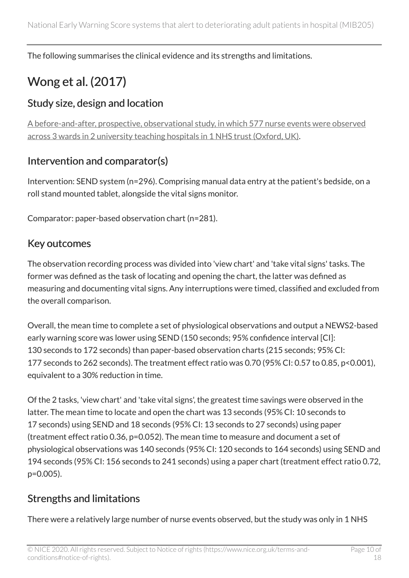The following summarises the clinical evidence and its strengths and limitations.

## Wong et al. (2017)

#### Study size, design and location

[A before-and-after, prospective, observational study, in which 577 nurse events were observed](https://www.ncbi.nlm.nih.gov/pubmed/28339626) [across 3 wards in 2 university teaching hospitals in 1](https://www.ncbi.nlm.nih.gov/pubmed/28339626) NHS trust (Oxford, UK).

#### Intervention and comparator(s)

Intervention: SEND system (n=296). Comprising manual data entry at the patient's bedside, on a roll stand mounted tablet, alongside the vital signs monitor.

Comparator: paper-based observation chart (n=281).

#### Key outcomes

The observation recording process was divided into 'view chart' and 'take vital signs' tasks. The former was defined as the task of locating and opening the chart, the latter was defined as measuring and documenting vital signs. Any interruptions were timed, classified and excluded from the overall comparison.

Overall, the mean time to complete a set of physiological observations and output a NEWS2-based early warning score was lower using SEND (150 seconds; 95% confidence interval [CI]: 130 seconds to 172 seconds) than paper-based observation charts (215 seconds; 95% CI: 177 seconds to 262 seconds). The treatment effect ratio was 0.70 (95% CI: 0.57 to 0.85, p<0.001), equivalent to a 30% reduction in time.

Of the 2 tasks, 'view chart' and 'take vital signs', the greatest time savings were observed in the latter. The mean time to locate and open the chart was 13 seconds (95% CI: 10 seconds to 17 seconds) using SEND and 18 seconds (95% CI: 13 seconds to 27 seconds) using paper (treatment effect ratio 0.36, p=0.052). The mean time to measure and document a set of physiological observations was 140 seconds (95% CI: 120 seconds to 164 seconds) using SEND and 194 seconds (95% CI: 156 seconds to 241 seconds) using a paper chart (treatment effect ratio 0.72, p=0.005).

#### Strengths and limitations

There were a relatively large number of nurse events observed, but the study was only in 1 NHS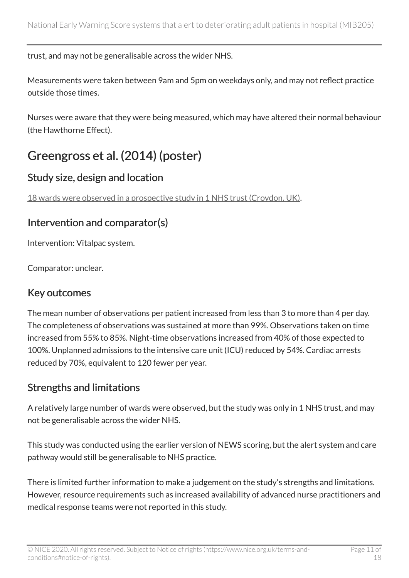trust, and may not be generalisable across the wider NHS.

Measurements were taken between 9am and 5pm on weekdays only, and may not reflect practice outside those times.

Nurses were aware that they were being measured, which may have altered their normal behaviour (the Hawthorne Effect).

### Greengross et al. (2014) (poster)

### Study size, design and location

[18 wards were observed in a prospective study in 1 NHS trust \(Croydon, UK\).](https://www.systemc.com/library/case-studies/vitalpac-helps-croydon-university-hospital-reduce-cardiac-arrests-by-70/)

### Intervention and comparator(s)

Intervention: Vitalpac system.

Comparator: unclear.

### Key outcomes

The mean number of observations per patient increased from less than 3 to more than 4 per day. The completeness of observations was sustained at more than 99%. Observations taken on time increased from 55% to 85%. Night-time observations increased from 40% of those expected to 100%. Unplanned admissions to the intensive care unit (ICU) reduced by 54%. Cardiac arrests reduced by 70%, equivalent to 120 fewer per year.

#### Strengths and limitations

A relatively large number of wards were observed, but the study was only in 1 NHS trust, and may not be generalisable across the wider NHS.

This study was conducted using the earlier version of NEWS scoring, but the alert system and care pathway would still be generalisable to NHS practice.

There is limited further information to make a judgement on the study's strengths and limitations. However, resource requirements such as increased availability of advanced nurse practitioners and medical response teams were not reported in this study.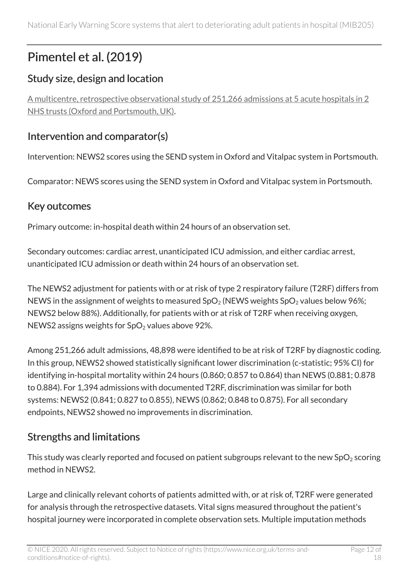## Pimentel et al. (2019)

### Study size, design and location

[A multicentre, retrospective observational study of 251,266 admissions at 5 acute hospitals in 2](https://www.ncbi.nlm.nih.gov/pubmed/30287355) [NHS trusts \(Oxford and Portsmouth, UK\)](https://www.ncbi.nlm.nih.gov/pubmed/30287355).

#### Intervention and comparator(s)

Intervention: NEWS2 scores using the SEND system in Oxford and Vitalpac system in Portsmouth.

Comparator: NEWS scores using the SEND system in Oxford and Vitalpac system in Portsmouth.

#### Key outcomes

Primary outcome: in-hospital death within 24 hours of an observation set.

Secondary outcomes: cardiac arrest, unanticipated ICU admission, and either cardiac arrest, unanticipated ICU admission or death within 24 hours of an observation set.

The NEWS2 adjustment for patients with or at risk of type 2 respiratory failure (T2RF) differs from NEWS in the assignment of weights to measured  $SpO<sub>2</sub>$  (NEWS weights  $SpO<sub>2</sub>$  values below 96%; NEWS2 below 88%). Additionally, for patients with or at risk of T2RF when receiving oxygen, NEWS2 assigns weights for  $SpO<sub>2</sub>$  values above 92%.

Among 251,266 adult admissions, 48,898 were identified to be at risk of T2RF by diagnostic coding. In this group, NEWS2 showed statistically significant lower discrimination (c-statistic; 95% CI) for identifying in-hospital mortality within 24 hours (0.860; 0.857 to 0.864) than NEWS (0.881; 0.878 to 0.884). For 1,394 admissions with documented T2RF, discrimination was similar for both systems: NEWS2 (0.841; 0.827 to 0.855), NEWS (0.862; 0.848 to 0.875). For all secondary endpoints, NEWS2 showed no improvements in discrimination.

### Strengths and limitations

This study was clearly reported and focused on patient subgroups relevant to the new  $SpO<sub>2</sub>$  scoring method in NEWS2.

Large and clinically relevant cohorts of patients admitted with, or at risk of, T2RF were generated for analysis through the retrospective datasets. Vital signs measured throughout the patient's hospital journey were incorporated in complete observation sets. Multiple imputation methods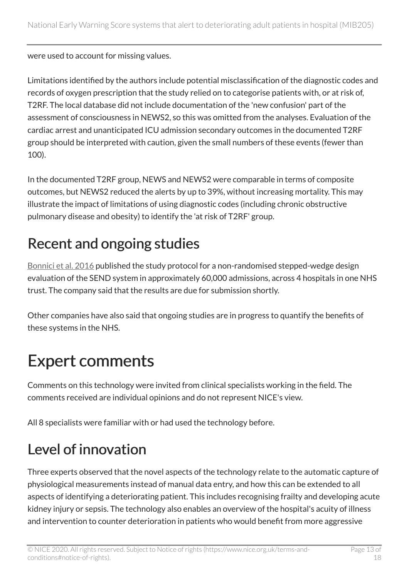were used to account for missing values.

Limitations identified by the authors include potential misclassification of the diagnostic codes and records of oxygen prescription that the study relied on to categorise patients with, or at risk of, T2RF. The local database did not include documentation of the 'new confusion' part of the assessment of consciousness in NEWS2, so this was omitted from the analyses. Evaluation of the cardiac arrest and unanticipated ICU admission secondary outcomes in the documented T2RF group should be interpreted with caution, given the small numbers of these events (fewer than 100).

In the documented T2RF group, NEWS and NEWS2 were comparable in terms of composite outcomes, but NEWS2 reduced the alerts by up to 39%, without increasing mortality. This may illustrate the impact of limitations of using diagnostic codes (including chronic obstructive pulmonary disease and obesity) to identify the 'at risk of T2RF' group.

## Recent and ongoing studies

[Bonnici et al. 2016](https://www.ncbi.nlm.nih.gov/pubmed/?term=26860362) published the study protocol for a non-randomised stepped-wedge design evaluation of the SEND system in approximately 60,000 admissions, across 4 hospitals in one NHS trust. The company said that the results are due for submission shortly.

Other companies have also said that ongoing studies are in progress to quantify the benefits of these systems in the NHS.

# Expert comments

Comments on this technology were invited from clinical specialists working in the field. The comments received are individual opinions and do not represent NICE's view.

All 8 specialists were familiar with or had used the technology before.

## Level of innovation

Three experts observed that the novel aspects of the technology relate to the automatic capture of physiological measurements instead of manual data entry, and how this can be extended to all aspects of identifying a deteriorating patient. This includes recognising frailty and developing acute kidney injury or sepsis. The technology also enables an overview of the hospital's acuity of illness and intervention to counter deterioration in patients who would benefit from more aggressive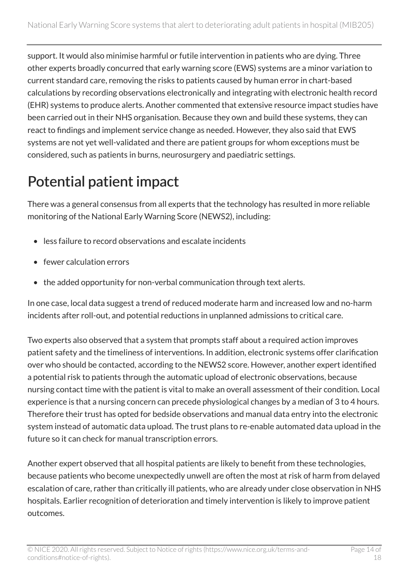support. It would also minimise harmful or futile intervention in patients who are dying. Three other experts broadly concurred that early warning score (EWS) systems are a minor variation to current standard care, removing the risks to patients caused by human error in chart-based calculations by recording observations electronically and integrating with electronic health record (EHR) systems to produce alerts. Another commented that extensive resource impact studies have been carried out in their NHS organisation. Because they own and build these systems, they can react to findings and implement service change as needed. However, they also said that EWS systems are not yet well-validated and there are patient groups for whom exceptions must be considered, such as patients in burns, neurosurgery and paediatric settings.

## Potential patient impact

There was a general consensus from all experts that the technology has resulted in more reliable monitoring of the National Early Warning Score (NEWS2), including:

- less failure to record observations and escalate incidents
- fewer calculation errors
- the added opportunity for non-verbal communication through text alerts.

In one case, local data suggest a trend of reduced moderate harm and increased low and no-harm incidents after roll-out, and potential reductions in unplanned admissions to critical care.

Two experts also observed that a system that prompts staff about a required action improves patient safety and the timeliness of interventions. In addition, electronic systems offer clarification over who should be contacted, according to the NEWS2 score. However, another expert identified a potential risk to patients through the automatic upload of electronic observations, because nursing contact time with the patient is vital to make an overall assessment of their condition. Local experience is that a nursing concern can precede physiological changes by a median of 3 to 4 hours. Therefore their trust has opted for bedside observations and manual data entry into the electronic system instead of automatic data upload. The trust plans to re-enable automated data upload in the future so it can check for manual transcription errors.

Another expert observed that all hospital patients are likely to benefit from these technologies, because patients who become unexpectedly unwell are often the most at risk of harm from delayed escalation of care, rather than critically ill patients, who are already under close observation in NHS hospitals. Earlier recognition of deterioration and timely intervention is likely to improve patient outcomes.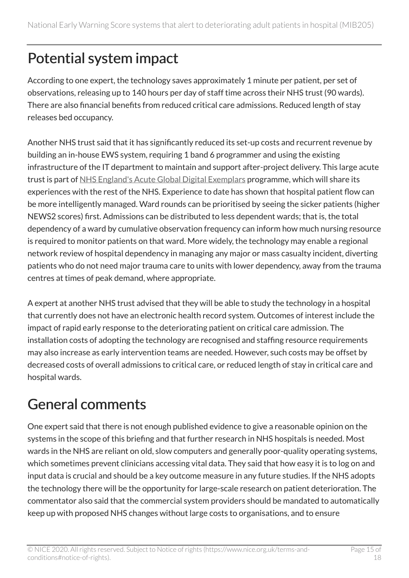# Potential system impact

According to one expert, the technology saves approximately 1 minute per patient, per set of observations, releasing up to 140 hours per day of staff time across their NHS trust (90 wards). There are also financial benefits from reduced critical care admissions. Reduced length of stay releases bed occupancy.

Another NHS trust said that it has significantly reduced its set-up costs and recurrent revenue by building an in-house EWS system, requiring 1 band 6 programmer and using the existing infrastructure of the IT department to maintain and support after-project delivery. This large acute trust is part of [NHS England's Acute Global Digital Exemplars](https://www.england.nhs.uk/digitaltechnology/info-revolution/exemplars/acute-global-digital-exemplars/) programme, which will share its experiences with the rest of the NHS. Experience to date has shown that hospital patient flow can be more intelligently managed. Ward rounds can be prioritised by seeing the sicker patients (higher NEWS2 scores) first. Admissions can be distributed to less dependent wards; that is, the total dependency of a ward by cumulative observation frequency can inform how much nursing resource is required to monitor patients on that ward. More widely, the technology may enable a regional network review of hospital dependency in managing any major or mass casualty incident, diverting patients who do not need major trauma care to units with lower dependency, away from the trauma centres at times of peak demand, where appropriate.

A expert at another NHS trust advised that they will be able to study the technology in a hospital that currently does not have an electronic health record system. Outcomes of interest include the impact of rapid early response to the deteriorating patient on critical care admission. The installation costs of adopting the technology are recognised and staffing resource requirements may also increase as early intervention teams are needed. However, such costs may be offset by decreased costs of overall admissions to critical care, or reduced length of stay in critical care and hospital wards.

## General comments

One expert said that there is not enough published evidence to give a reasonable opinion on the systems in the scope of this briefing and that further research in NHS hospitals is needed. Most wards in the NHS are reliant on old, slow computers and generally poor-quality operating systems, which sometimes prevent clinicians accessing vital data. They said that how easy it is to log on and input data is crucial and should be a key outcome measure in any future studies. If the NHS adopts the technology there will be the opportunity for large-scale research on patient deterioration. The commentator also said that the commercial system providers should be mandated to automatically keep up with proposed NHS changes without large costs to organisations, and to ensure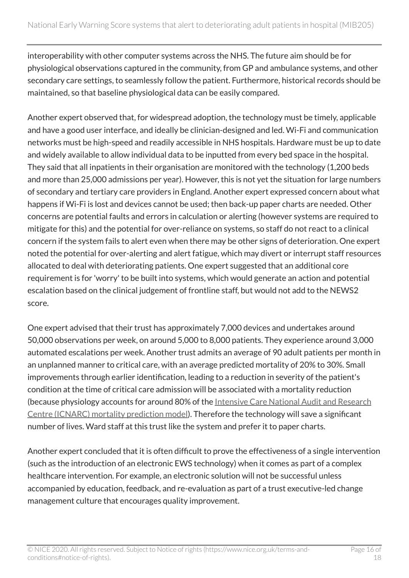interoperability with other computer systems across the NHS. The future aim should be for physiological observations captured in the community, from GP and ambulance systems, and other secondary care settings, to seamlessly follow the patient. Furthermore, historical records should be maintained, so that baseline physiological data can be easily compared.

Another expert observed that, for widespread adoption, the technology must be timely, applicable and have a good user interface, and ideally be clinician-designed and led. Wi-Fi and communication networks must be high-speed and readily accessible in NHS hospitals. Hardware must be up to date and widely available to allow individual data to be inputted from every bed space in the hospital. They said that all inpatients in their organisation are monitored with the technology (1,200 beds and more than 25,000 admissions per year). However, this is not yet the situation for large numbers of secondary and tertiary care providers in England. Another expert expressed concern about what happens if Wi-Fi is lost and devices cannot be used; then back-up paper charts are needed. Other concerns are potential faults and errors in calculation or alerting (however systems are required to mitigate for this) and the potential for over-reliance on systems, so staff do not react to a clinical concern if the system fails to alert even when there may be other signs of deterioration. One expert noted the potential for over-alerting and alert fatigue, which may divert or interrupt staff resources allocated to deal with deteriorating patients. One expert suggested that an additional core requirement is for 'worry' to be built into systems, which would generate an action and potential escalation based on the clinical judgement of frontline staff, but would not add to the NEWS2 score.

One expert advised that their trust has approximately 7,000 devices and undertakes around 50,000 observations per week, on around 5,000 to 8,000 patients. They experience around 3,000 automated escalations per week. Another trust admits an average of 90 adult patients per month in an unplanned manner to critical care, with an average predicted mortality of 20% to 30%. Small improvements through earlier identification, leading to a reduction in severity of the patient's condition at the time of critical care admission will be associated with a mortality reduction (because physiology accounts for around 80% of the Intensive Care National Audit and Research [Centre \(ICNARC\) mortality prediction model](https://www.icnarc.org/Our-Audit/Audits/Cmp/Our-National-Analyses/Mortality)). Therefore the technology will save a significant number of lives. Ward staff at this trust like the system and prefer it to paper charts.

Another expert concluded that it is often difficult to prove the effectiveness of a single intervention (such as the introduction of an electronic EWS technology) when it comes as part of a complex healthcare intervention. For example, an electronic solution will not be successful unless accompanied by education, feedback, and re-evaluation as part of a trust executive-led change management culture that encourages quality improvement.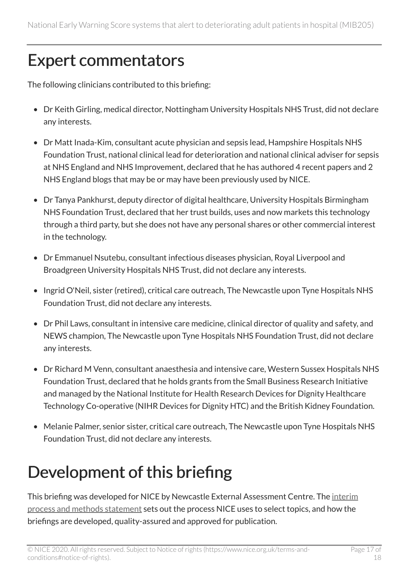# Expert commentators

The following clinicians contributed to this briefing:

- Dr Keith Girling, medical director, Nottingham University Hospitals NHS Trust, did not declare any interests.
- Dr Matt Inada-Kim, consultant acute physician and sepsis lead, Hampshire Hospitals NHS Foundation Trust, national clinical lead for deterioration and national clinical adviser for sepsis at NHS England and NHS Improvement, declared that he has authored 4 recent papers and 2 NHS England blogs that may be or may have been previously used by NICE.
- Dr Tanya Pankhurst, deputy director of digital healthcare, University Hospitals Birmingham NHS Foundation Trust, declared that her trust builds, uses and now markets this technology through a third party, but she does not have any personal shares or other commercial interest in the technology.
- Dr Emmanuel Nsutebu, consultant infectious diseases physician, Royal Liverpool and Broadgreen University Hospitals NHS Trust, did not declare any interests.
- Ingrid O'Neil, sister (retired), critical care outreach, The Newcastle upon Tyne Hospitals NHS Foundation Trust, did not declare any interests.
- Dr Phil Laws, consultant in intensive care medicine, clinical director of quality and safety, and NEWS champion, The Newcastle upon Tyne Hospitals NHS Foundation Trust, did not declare any interests.
- Dr Richard M Venn, consultant anaesthesia and intensive care, Western Sussex Hospitals NHS Foundation Trust, declared that he holds grants from the Small Business Research Initiative and managed by the National Institute for Health Research Devices for Dignity Healthcare Technology Co-operative (NIHR Devices for Dignity HTC) and the British Kidney Foundation.
- Melanie Palmer, senior sister, critical care outreach, The Newcastle upon Tyne Hospitals NHS Foundation Trust, did not declare any interests.

# Development of this briefing

This briefing was developed for NICE by Newcastle External Assessment Centre. The [interim](https://www.nice.org.uk/About/What-we-do/Our-Programmes/NICE-Advice/Medtech-innovation-briefings) [process and methods statement](https://www.nice.org.uk/About/What-we-do/Our-Programmes/NICE-Advice/Medtech-innovation-briefings) sets out the process NICE uses to select topics, and how the briefings are developed, quality-assured and approved for publication.